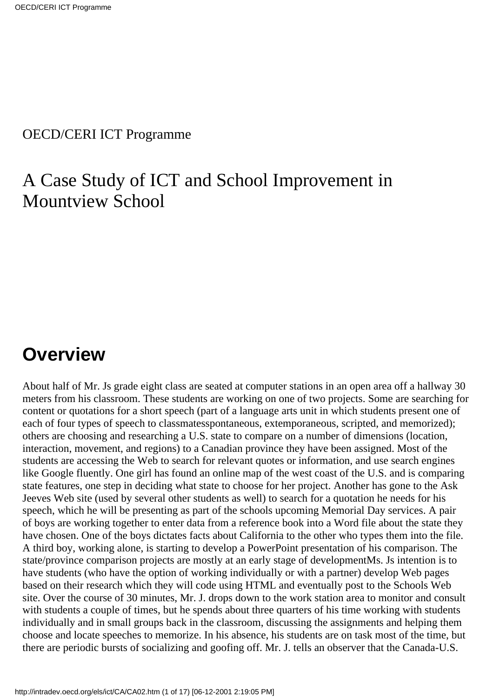#### OECD/CERI ICT Programme

### A Case Study of ICT and School Improvement in Mountview School

## **Overview**

About half of Mr. J s grade eight class are seated at computer stations in an open area off a hallway 30 meters from his classroom. These students are working on one of two projects. Some are searching for content or quotations for a short speech (part of a language arts unit in which students present one of each of four types of speech to classmates spontaneous, extemporaneous, scripted, and memorized); others are choosing and researching a U.S. state to compare on a number of dimensions (location, interaction, movement, and regions) to a Canadian province they have been assigned. Most of the students are accessing the Web to search for relevant quotes or information, and use search engines like Google fluently. One girl has found an online map of the west coast of the U.S. and is comparing state features, one step in deciding what state to choose for her project. Another has gone to the Ask Jeeves Web site (used by several other students as well) to search for a quotation he needs for his speech, which he will be presenting as part of the school s upcoming Memorial Day services. A pair of boys are working together to enter data from a reference book into a Word file about the state they have chosen. One of the boys dictates facts about California to the other who types them into the file. A third boy, working alone, is starting to develop a PowerPoint presentation of his comparison. The state/province comparison projects are mostly at an early stage of development Ms. J s intention is to have students (who have the option of working individually or with a partner) develop Web pages based on their research which they will code using HTML and eventually post to the Schools Web site. Over the course of 30 minutes, Mr. J. drops down to the work station area to monitor and consult with students a couple of times, but he spends about three quarters of his time working with students individually and in small groups back in the classroom, discussing the assignments and helping them choose and locate speeches to memorize. In his absence, his students are on task most of the time, but there are periodic bursts of socializing and goofing off. Mr. J. tells an observer that the Canada-U.S.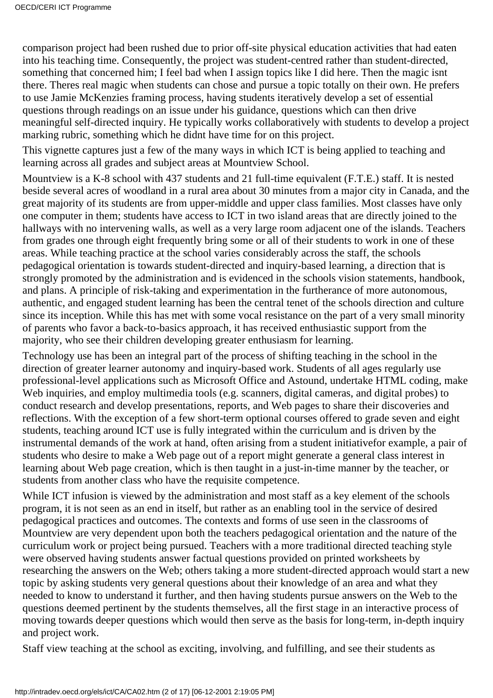comparison project had been rushed due to prior off-site physical education activities that had eaten into his teaching time. Consequently, the project was student-centred rather than student-directed, something that concerned him; I feel bad when I assign topics like I did here. Then the magic isn t there. There s real magic when students can chose and pursue a topic totally on their own. He prefers to use Jamie McKenzies framing process, having students iteratively develop a set of essential questions through readings on an issue under his guidance, questions which can then drive meaningful self-directed inquiry. He typically works collaboratively with students to develop a project marking rubric, something which he didnt have time for on this project.

This vignette captures just a few of the many ways in which ICT is being applied to teaching and learning across all grades and subject areas at Mountview School.

Mountview is a K-8 school with 437 students and 21 full-time equivalent (F.T.E.) staff. It is nested beside several acres of woodland in a rural area about 30 minutes from a major city in Canada, and the great majority of its students are from upper-middle and upper class families. Most classes have only one computer in them; students have access to ICT in two island areas that are directly joined to the hallways with no intervening walls, as well as a very large room adjacent one of the islands. Teachers from grades one through eight frequently bring some or all of their students to work in one of these areas. While teaching practice at the school varies considerably across the staff, the schools pedagogical orientation is towards student-directed and inquiry-based learning, a direction that is strongly promoted by the administration and is evidenced in the school s vision statements, handbook, and plans. A principle of risk-taking and experimentation in the furtherance of more autonomous, authentic, and engaged student learning has been the central tenet of the school s direction and culture since its inception. While this has met with some vocal resistance on the part of a very small minority of parents who favor a back-to-basics approach, it has received enthusiastic support from the majority, who see their children developing greater enthusiasm for learning.

Technology use has been an integral part of the process of shifting teaching in the school in the direction of greater learner autonomy and inquiry-based work. Students of all ages regularly use professional-level applications such as Microsoft Office and Astound, undertake HTML coding, make Web inquiries, and employ multimedia tools (e.g. scanners, digital cameras, and digital probes) to conduct research and develop presentations, reports, and Web pages to share their discoveries and reflections. With the exception of a few short-term optional courses offered to grade seven and eight students, teaching around ICT use is fully integrated within the curriculum and is driven by the instrumental demands of the work at hand, often arising from a student initiative for example, a pair of students who desire to make a Web page out of a report might generate a general class interest in learning about Web page creation, which is then taught in a just-in-time manner by the teacher, or students from another class who have the requisite competence.

While ICT infusion is viewed by the administration and most staff as a key element of the school s program, it is not seen as an end in itself, but rather as an enabling tool in the service of desired pedagogical practices and outcomes. The contexts and forms of use seen in the classrooms of Mountview are very dependent upon both the teacher s pedagogical orientation and the nature of the curriculum work or project being pursued. Teachers with a more traditional directed teaching style were observed having students answer factual questions provided on printed worksheets by researching the answers on the Web; others taking a more student-directed approach would start a new topic by asking students very general questions about their knowledge of an area and what they needed to know to understand it further, and then having students pursue answers on the Web to the questions deemed pertinent by the students themselves, all the first stage in an interactive process of moving towards deeper questions which would then serve as the basis for long-term, in-depth inquiry and project work.

Staff view teaching at the school as exciting, involving, and fulfilling, and see their students as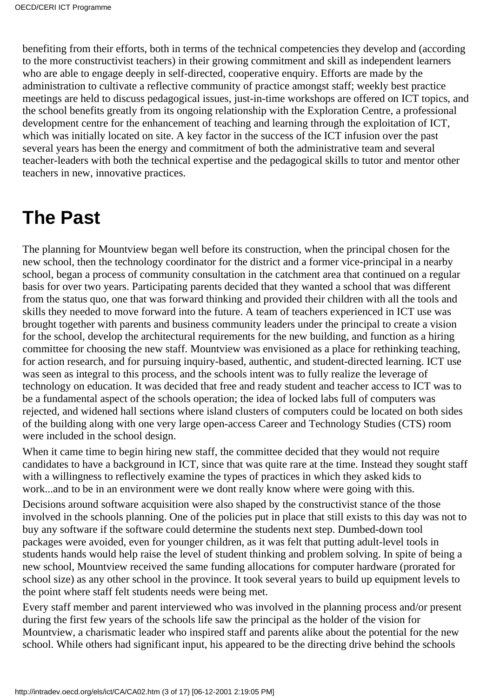benefiting from their efforts, both in terms of the technical competencies they develop and (according to the more constructivist teachers) in their growing commitment and skill as independent learners who are able to engage deeply in self-directed, cooperative enquiry. Efforts are made by the administration to cultivate a reflective community of practice amongst staff; weekly best practice meetings are held to discuss pedagogical issues, just-in-time workshops are offered on ICT topics, and the school benefits greatly from its ongoing relationship with the Exploration Centre, a professional development centre for the enhancement of teaching and learning through the exploitation of ICT, which was initially located on site. A key factor in the success of the ICT infusion over the past several years has been the energy and commitment of both the administrative team and several teacher-leaders with both the technical expertise and the pedagogical skills to tutor and mentor other teachers in new, innovative practices.

## **The Past**

The planning for Mountview began well before its construction, when the principal chosen for the new school, then the technology coordinator for the district and a former vice-principal in a nearby school, began a process of community consultation in the catchment area that continued on a regular basis for over two years. Participating parents decided that they wanted a school that was different from the status quo, one that was forward thinking and provided their children with all the tools and skills they needed to move forward into the future. A team of teachers experienced in ICT use was brought together with parents and business community leaders under the principal to create a vision for the school, develop the architectural requirements for the new building, and function as a hiring committee for choosing the new staff. Mountview was envisioned as a place for rethinking teaching, for action research, and for pursuing inquiry-based, authentic, and student-directed learning. ICT use was seen as integral to this process, and the school s intent was to fully realize the leverage of technology on education. It was decided that free and ready student and teacher access to ICT was to be a fundamental aspect of the school s operation; the idea of locked labs full of computers was rejected, and widened hall sections where island clusters of computers could be located on both sides of the building along with one very large open-access Career and Technology Studies (CTS) room were included in the school design.

When it came time to begin hiring new staff, the committee decided that they would not require candidates to have a background in ICT, since that was quite rare at the time. Instead they sought staff with a willingness to reflectively examine the types of practices in which they asked kids to work...and to be in an environment were we dont really know where we re going with this.

Decisions around software acquisition were also shaped by the constructivist stance of the those involved in the school s planning. One of the policies put in place that still exists to this day was not to buy any software if the software could determine the student s next step. Dumbed-down tool packages were avoided, even for younger children, as it was felt that putting adult-level tools in students hands would help raise the level of student thinking and problem solving. In spite of being a new school, Mountview received the same funding allocations for computer hardware (prorated for school size) as any other school in the province. It took several years to build up equipment levels to the point where staff felt students needs were being met.

Every staff member and parent interviewed who was involved in the planning process and/or present during the first few years of the schools life saw the principal as the holder of the vision for Mountview, a charismatic leader who inspired staff and parents alike about the potential for the new school. While others had significant input, his appeared to be the directing drive behind the school s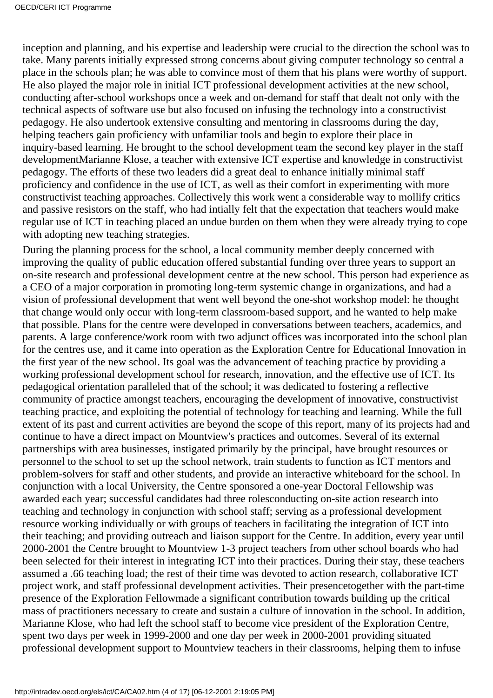inception and planning, and his expertise and leadership were crucial to the direction the school was to take. Many parents initially expressed strong concerns about giving computer technology so central a place in the schools plan; he was able to convince most of them that his plans were worthy of support. He also played the major role in initial ICT professional development activities at the new school, conducting after-school workshops once a week and on-demand for staff that dealt not only with the technical aspects of software use but also focused on infusing the technology into a constructivist pedagogy. He also undertook extensive consulting and mentoring in classrooms during the day, helping teachers gain proficiency with unfamiliar tools and begin to explore their place in inquiry-based learning. He brought to the school development team the second key player in the staff development Marianne Klose, a teacher with extensive ICT expertise and knowledge in constructivist pedagogy. The efforts of these two leaders did a great deal to enhance initially minimal staff proficiency and confidence in the use of ICT, as well as their comfort in experimenting with more constructivist teaching approaches. Collectively this work went a considerable way to mollify critics and passive resistors on the staff, who had intially felt that the expectation that teachers would make regular use of ICT in teaching placed an undue burden on them when they were already trying to cope with adopting new teaching strategies.

During the planning process for the school, a local community member deeply concerned with improving the quality of public education offered substantial funding over three years to support an on-site research and professional development centre at the new school. This person had experience as a CEO of a major corporation in promoting long-term systemic change in organizations, and had a vision of professional development that went well beyond the one-shot workshop model: he thought that change would only occur with long-term classroom-based support, and he wanted to help make that possible. Plans for the centre were developed in conversations between teachers, academics, and parents. A large conference/work room with two adjunct offices was incorporated into the school plan for the centre s use, and it came into operation as the Exploration Centre for Educational Innovation in the first year of the new school. Its goal was the advancement of teaching practice by providing a working professional development school for research, innovation, and the effective use of ICT. Its pedagogical orientation paralleled that of the school; it was dedicated to fostering a reflective community of practice amongst teachers, encouraging the development of innovative, constructivist teaching practice, and exploiting the potential of technology for teaching and learning. While the full extent of its past and current activities are beyond the scope of this report, many of its projects had and continue to have a direct impact on Mountview's practices and outcomes. Several of its external partnerships with area businesses, instigated primarily by the principal, have brought resources or personnel to the school to set up the school network, train students to function as ICT mentors and problem-solvers for staff and other students, and provide an interactive whiteboard for the school. In conjunction with a local University, the Centre sponsored a one-year Doctoral Fellowship was awarded each year; successful candidates had three roles conducting on-site action research into teaching and technology in conjunction with school staff; serving as a professional development resource working individually or with groups of teachers in facilitating the integration of ICT into their teaching; and providing outreach and liaison support for the Centre. In addition, every year until 2000-2001 the Centre brought to Mountview 1-3 project teachers from other school boards who had been selected for their interest in integrating ICT into their practices. During their stay, these teachers assumed a .66 teaching load; the rest of their time was devoted to action research, collaborative ICT project work, and staff professional development activities. Their presence together with the part-time presence of the Exploration Fellowmade a significant contribution towards building up the critical mass of practitioners necessary to create and sustain a culture of innovation in the school. In addition, Marianne Klose, who had left the school staff to become vice president of the Exploration Centre, spent two days per week in 1999-2000 and one day per week in 2000-2001 providing situated professional development support to Mountview teachers in their classrooms, helping them to infuse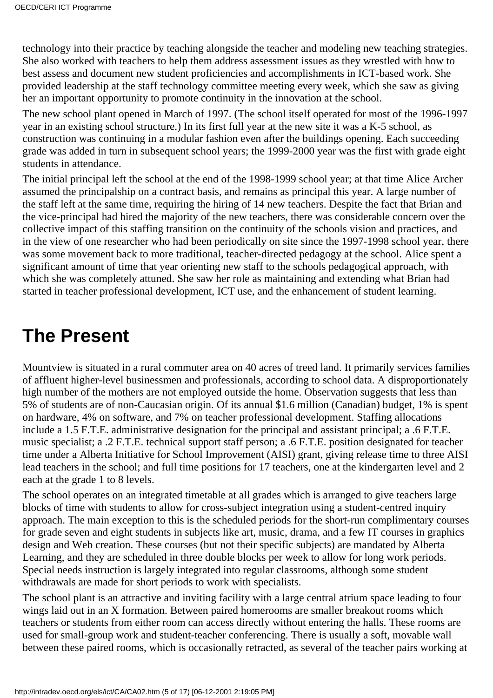technology into their practice by teaching alongside the teacher and modeling new teaching strategies. She also worked with teachers to help them address assessment issues as they wrestled with how to best assess and document new student proficiencies and accomplishments in ICT-based work. She provided leadership at the staff technology committee meeting every week, which she saw as giving her an important opportunity to promote continuity in the innovation at the school.

The new school plant opened in March of 1997. (The school itself operated for most of the 1996-1997 year in an existing school structure.) In its first full year at the new site it was a K-5 school, as construction was continuing in a modular fashion even after the building s opening. Each succeeding grade was added in turn in subsequent school years; the 1999-2000 year was the first with grade eight students in attendance.

The initial principal left the school at the end of the 1998-1999 school year; at that time Alice Archer assumed the principalship on a contract basis, and remains as principal this year. A large number of the staff left at the same time, requiring the hiring of 14 new teachers. Despite the fact that Brian and the vice-principal had hired the majority of the new teachers, there was considerable concern over the collective impact of this staffing transition on the continuity of the school s vision and practices, and in the view of one researcher who had been periodically on site since the 1997-1998 school year, there was some movement back to more traditional, teacher-directed pedagogy at the school. Alice spent a significant amount of time that year orienting new staff to the school s pedagogical approach, with which she was completely attuned. She saw her role as maintaining and extending what Brian had started in teacher professional development, ICT use, and the enhancement of student learning.

# **The Present**

Mountview is situated in a rural commuter area on 40 acres of treed land. It primarily services families of affluent higher-level businessmen and professionals, according to school data. A disproportionately high number of the mothers are not employed outside the home. Observation suggests that less than 5% of students are of non-Caucasian origin. Of its annual \$1.6 million (Canadian) budget, 1% is spent on hardware, 4% on software, and 7% on teacher professional development. Staffing allocations include a 1.5 F.T.E. administrative designation for the principal and assistant principal; a .6 F.T.E. music specialist; a .2 F.T.E. technical support staff person; a .6 F.T.E. position designated for teacher time under a Alberta Initiative for School Improvement (AISI) grant, giving release time to three AISI lead teachers in the school; and full time positions for 17 teachers, one at the kindergarten level and 2 each at the grade 1 to 8 levels.

The school operates on an integrated timetable at all grades which is arranged to give teachers large blocks of time with students to allow for cross-subject integration using a student-centred inquiry approach. The main exception to this is the scheduled periods for the short-run complimentary courses for grade seven and eight students in subjects like art, music, drama, and a few IT courses in graphics design and Web creation. These courses (but not their specific subjects) are mandated by Alberta Learning, and they are scheduled in three double blocks per week to allow for long work periods. Special needs instruction is largely integrated into regular classrooms, although some student withdrawals are made for short periods to work with specialists.

The school plant is an attractive and inviting facility with a large central atrium space leading to four wings laid out in an X formation. Between paired homerooms are smaller breakout rooms which teachers or students from either room can access directly without entering the halls. These rooms are used for small-group work and student-teacher conferencing. There is usually a soft, movable wall between these paired rooms, which is occasionally retracted, as several of the teacher pairs working at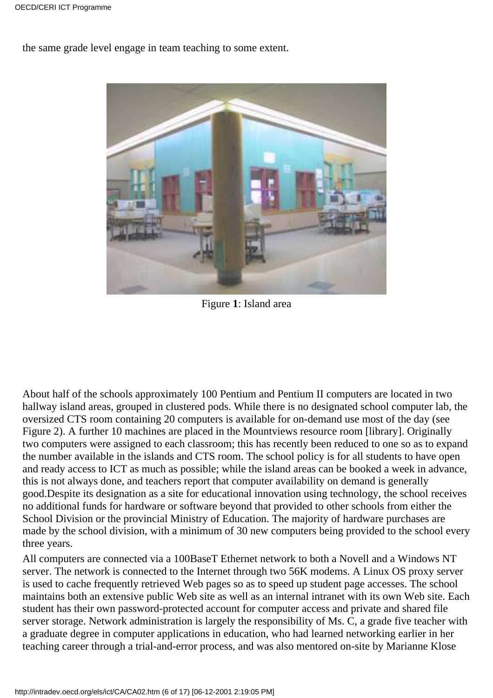the same grade level engage in team teaching to some extent.



Figure **1**: Island area

About half of the schools approximately 100 Pentium and Pentium II computers are located in two hallway island areas, grouped in clustered pods. While there is no designated school computer lab, the oversized CTS room containing 20 computers is available for on-demand use most of the day (see Figure 2). A further 10 machines are placed in the Mountview s resource room [library]. Originally two computers were assigned to each classroom; this has recently been reduced to one so as to expand the number available in the islands and CTS room. The school policy is for all students to have open and ready access to ICT as much as possible; while the island areas can be booked a week in advance, this is not always done, and teachers report that computer availability on demand is generally good.Despite its designation as a site for educational innovation using technology, the school receives no additional funds for hardware or software beyond that provided to other schools from either the School Division or the provincial Ministry of Education. The majority of hardware purchases are made by the school division, with a minimum of 30 new computers being provided to the school every three years.

All computers are connected via a 100BaseT Ethernet network to both a Novell and a Windows NT server. The network is connected to the Internet through two 56K modems. A Linux OS proxy server is used to cache frequently retrieved Web pages so as to speed up student page accesses. The school maintains both an extensive public Web site as well as an internal intranet with its own Web site. Each student has their own password-protected account for computer access and private and shared file server storage. Network administration is largely the responsibility of Ms. C, a grade five teacher with a graduate degree in computer applications in education, who had learned networking earlier in her teaching career through a trial-and-error process, and was also mentored on-site by Marianne Klose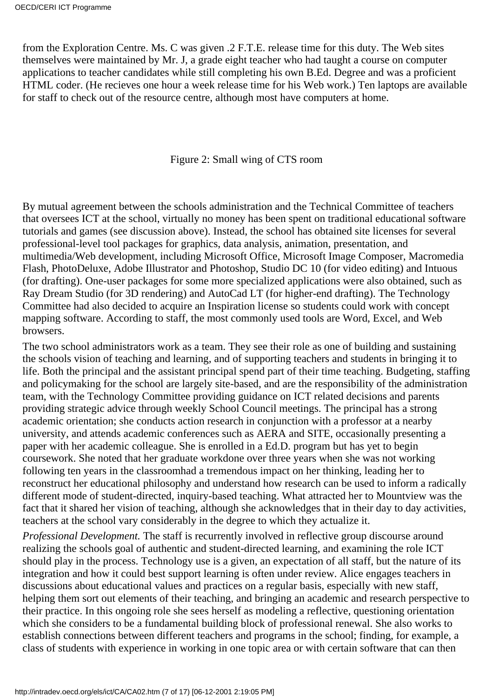from the Exploration Centre. Ms. C was given .2 F.T.E. release time for this duty. The Web sites themselves were maintained by Mr. J, a grade eight teacher who had taught a course on computer applications to teacher candidates while still completing his own B.Ed. Degree and was a proficient HTML coder. (He recieves one hour a week release time for his Web work.) Ten laptops are available for staff to check out of the resource centre, although most have computers at home.

Figure 2: Small wing of CTS room

By mutual agreement between the school s administration and the Technical Committee of teachers that oversees ICT at the school, virtually no money has been spent on traditional educational software tutorials and games (see discussion above). Instead, the school has obtained site licenses for several professional-level tool packages for graphics, data analysis, animation, presentation, and multimedia/Web development, including Microsoft Office, Microsoft Image Composer, Macromedia Flash, PhotoDeluxe, Adobe Illustrator and Photoshop, Studio DC 10 (for video editing) and Intuous (for drafting). One-user packages for some more specialized applications were also obtained, such as Ray Dream Studio (for 3D rendering) and AutoCad LT (for higher-end drafting). The Technology Committee had also decided to acquire an Inspiration license so students could work with concept mapping software. According to staff, the most commonly used tools are Word, Excel, and Web browsers.

The two school administrators work as a team. They see their role as one of building and sustaining the school s vision of teaching and learning, and of supporting teachers and students in bringing it to life. Both the principal and the assistant principal spend part of their time teaching. Budgeting, staffing and policymaking for the school are largely site-based, and are the responsibility of the administration team, with the Technology Committee providing guidance on ICT related decisions and parents providing strategic advice through weekly School Council meetings. The principal has a strong academic orientation; she conducts action research in conjunction with a professor at a nearby university, and attends academic conferences such as AERA and SITE, occasionally presenting a paper with her academic colleague. She is enrolled in a Ed.D. program but has yet to begin coursework. She noted that her graduate workdone over three years when she was not working following ten years in the classroom had a tremendous impact on her thinking, leading her to reconstruct her educational philosophy and understand how research can be used to inform a radically different mode of student-directed, inquiry-based teaching. What attracted her to Mountview was the fact that it shared her vision of teaching, although she acknowledges that in their day to day activities, teachers at the school vary considerably in the degree to which they actualize it.

*Professional Development.* The staff is recurrently involved in reflective group discourse around realizing the schools goal of authentic and student-directed learning, and examining the role ICT should play in the process. Technology use is a given, an expectation of all staff, but the nature of its integration and how it could best support learning is often under review. Alice engages teachers in discussions about educational values and practices on a regular basis, especially with new staff, helping them sort out elements of their teaching, and bringing an academic and research perspective to their practice. In this ongoing role she sees herself as modeling a reflective, questioning orientation which she considers to be a fundamental building block of professional renewal. She also works to establish connections between different teachers and programs in the school; finding, for example, a class of students with experience in working in one topic area or with certain software that can then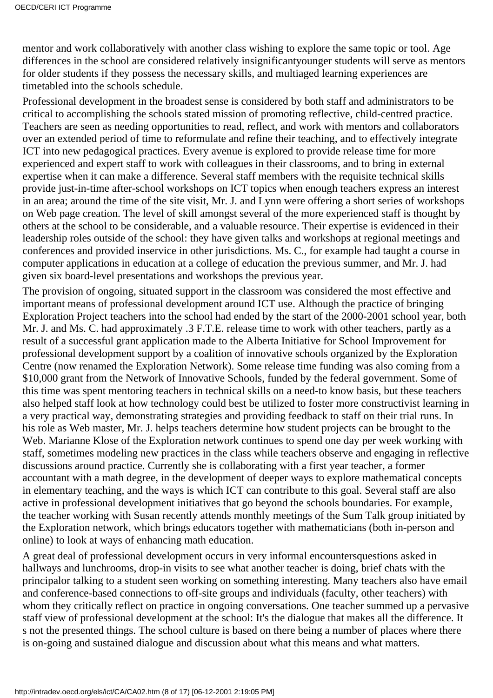mentor and work collaboratively with another class wishing to explore the same topic or tool. Age differences in the school are considered relatively insignificant younger students will serve as mentors for older students if they possess the necessary skills, and multiaged learning experiences are timetabled into the school s schedule.

Professional development in the broadest sense is considered by both staff and administrators to be critical to accomplishing the school s stated mission of promoting reflective, child-centred practice. Teachers are seen as needing opportunities to read, reflect, and work with mentors and collaborators over an extended period of time to reformulate and refine their teaching, and to effectively integrate ICT into new pedagogical practices. Every avenue is explored to provide release time for more experienced and expert staff to work with colleagues in their classrooms, and to bring in external expertise when it can make a difference. Several staff members with the requisite technical skills provide just-in-time after-school workshops on ICT topics when enough teachers express an interest in an area; around the time of the site visit, Mr. J. and Lynn were offering a short series of workshops on Web page creation. The level of skill amongst several of the more experienced staff is thought by others at the school to be considerable, and a valuable resource. Their expertise is evidenced in their leadership roles outside of the school: they have given talks and workshops at regional meetings and conferences and provided inservice in other jurisdictions. Ms. C., for example had taught a course in computer applications in education at a college of education the previous summer, and Mr. J. had given six board-level presentations and workshops the previous year.

The provision of ongoing, situated support in the classroom was considered the most effective and important means of professional development around ICT use. Although the practice of bringing Exploration Project teachers into the school had ended by the start of the 2000-2001 school year, both Mr. J. and Ms. C. had approximately .3 F.T.E. release time to work with other teachers, partly as a result of a successful grant application made to the Alberta Initiative for School Improvement for professional development support by a coalition of innovative schools organized by the Exploration Centre (now renamed the Exploration Network). Some release time funding was also coming from a \$10,000 grant from the Network of Innovative Schools, funded by the federal government. Some of this time was spent mentoring teachers in technical skills on a need-to know basis, but these teachers also helped staff look at how technology could best be utilized to foster more constructivist learning in a very practical way, demonstrating strategies and providing feedback to staff on their trial runs. In his role as Web master, Mr. J. helps teachers determine how student projects can be brought to the Web. Marianne Klose of the Exploration network continues to spend one day per week working with staff, sometimes modeling new practices in the class while teachers observe and engaging in reflective discussions around practice. Currently she is collaborating with a first year teacher, a former accountant with a math degree, in the development of deeper ways to explore mathematical concepts in elementary teaching, and the ways is which ICT can contribute to this goal. Several staff are also active in professional development initiatives that go beyond the school s boundaries. For example, the teacher working with Susan recently attends monthly meetings of the Sum Talk group initiated by the Exploration network, which brings educators together with mathematicians (both in-person and online) to look at ways of enhancing math education.

A great deal of professional development occurs in very informal encounters questions asked in hallways and lunchrooms, drop-in visits to see what another teacher is doing, brief chats with the principal or talking to a student seen working on something interesting. Many teachers also have email and conference-based connections to off-site groups and individuals (faculty, other teachers) with whom they critically reflect on practice in ongoing conversations. One teacher summed up a pervasive staff view of professional development at the school: It's the dialogue that makes all the difference. It s not the presented things. The school culture is based on there being a number of places where there is on-going and sustained dialogue and discussion about what this means and what matters.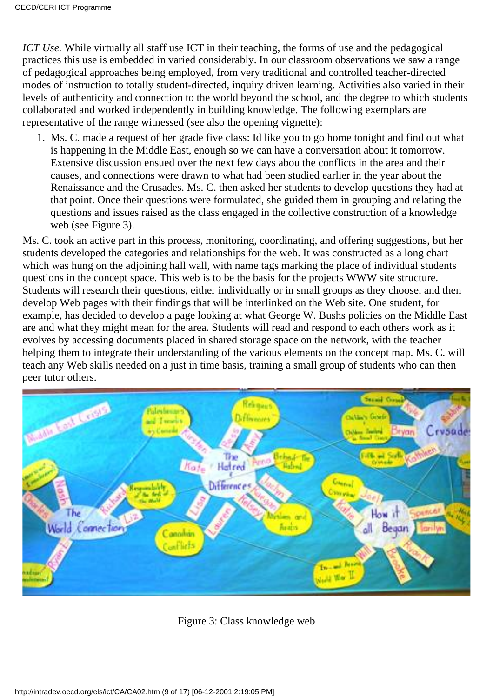*ICT Use*. While virtually all staff use ICT in their teaching, the forms of use and the pedagogical practices this use is embedded in varied considerably. In our classroom observations we saw a range of pedagogical approaches being employed, from very traditional and controlled teacher-directed modes of instruction to totally student-directed, inquiry driven learning. Activities also varied in their levels of authenticity and connection to the world beyond the school, and the degree to which students collaborated and worked independently in building knowledge. The following exemplars are representative of the range witnessed (see also the opening vignette):

Ms. C. made a request of her grade five class: Id like you to go home tonight and find out what 1. is happening in the Middle East, enough so we can have a conversation about it tomorrow. Extensive discussion ensued over the next few days abou the conflicts in the area and their causes, and connections were drawn to what had been studied earlier in the year about the Renaissance and the Crusades. Ms. C. then asked her students to develop questions they had at that point. Once their questions were formulated, she guided them in grouping and relating the questions and issues raised as the class engaged in the collective construction of a knowledge web (see Figure 3).

Ms. C. took an active part in this process, monitoring, coordinating, and offering suggestions, but her students developed the categories and relationships for the web. It was constructed as a long chart which was hung on the adjoining hall wall, with name tags marking the place of individual students questions in the concept space. This web is to be the basis for the project s WWW site structure. Students will research their questions, either individually or in small groups as they choose, and then develop Web pages with their findings that will be interlinked on the Web site. One student, for example, has decided to develop a page looking at what George W. Bush s policies on the Middle East are and what they might mean for the area. Students will read and respond to each others work as it evolves by accessing documents placed in shared storage space on the network, with the teacher helping them to integrate their understanding of the various elements on the concept map. Ms. C. will teach any Web skills needed on a just in time basis, training a small group of students who can then peer tutor others.



Figure 3: Class knowledge web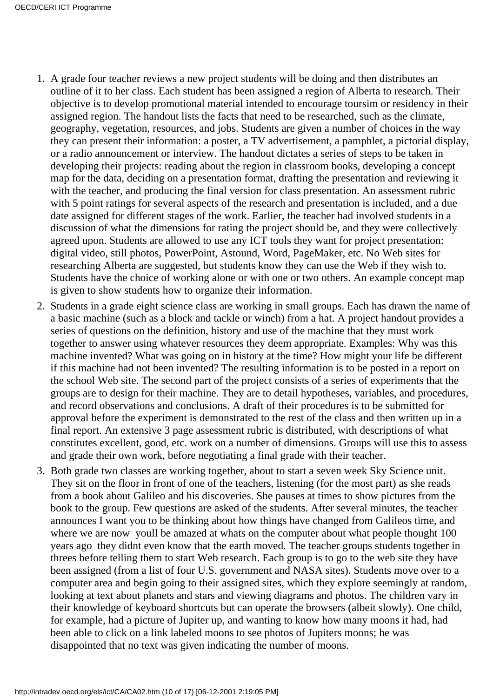- A grade four teacher reviews a new project students will be doing and then distributes an 1. outline of it to her class. Each student has been assigned a region of Alberta to research. Their objective is to develop promotional material intended to encourage toursim or residency in their assigned region. The handout lists the facts that need to be researched, such as the climate, geography, vegetation, resources, and jobs. Students are given a number of choices in the way they can present their information: a poster, a TV advertisement, a pamphlet, a pictorial display, or a radio announcement or interview. The handout dictates a series of steps to be taken in developing their projects: reading about the region in classroom books, developing a concept map for the data, deciding on a presentation format, drafting the presentation and reviewing it with the teacher, and producing the final version for class presentation. An assessment rubric with 5 point ratings for several aspects of the research and presentation is included, and a due date assigned for different stages of the work. Earlier, the teacher had involved students in a discussion of what the dimensions for rating the project should be, and they were collectively agreed upon. Students are allowed to use any ICT tools they want for project presentation: digital video, still photos, PowerPoint, Astound, Word, PageMaker, etc. No Web sites for researching Alberta are suggested, but students know they can use the Web if they wish to. Students have the choice of working alone or with one or two others. An example concept map is given to show students how to organize their information.
- 2. Students in a grade eight science class are working in small groups. Each has drawn the name of a basic machine (such as a block and tackle or winch) from a hat. A project handout provides a series of questions on the definition, history and use of the machine that they must work together to answer using whatever resources they deem appropriate. Examples: Why was this machine invented? What was going on in history at the time? How might your life be different if this machine had not been invented? The resulting information is to be posted in a report on the school Web site. The second part of the project consists of a series of experiments that the groups are to design for their machine. They are to detail hypotheses, variables, and procedures, and record observations and conclusions. A draft of their procedures is to be submitted for approval before the experiment is demonstrated to the rest of the class and then written up in a final report. An extensive 3 page assessment rubric is distributed, with descriptions of what constitutes excellent, good, etc. work on a number of dimensions. Groups will use this to assess and grade their own work, before negotiating a final grade with their teacher.
- 3. Both grade two classes are working together, about to start a seven week Sky Science unit. They sit on the floor in front of one of the teachers, listening (for the most part) as she reads from a book about Galileo and his discoveries. She pauses at times to show pictures from the book to the group. Few questions are asked of the students. After several minutes, the teacher announces I want you to be thinking about how things have changed from Galileo s time, and where we are now you ll be amazed at what s on the computer about what people thought 100 years ago they didnt even know that the earth moved. The teacher groups students together in threes before telling them to start Web research. Each group is to go to the web site they have been assigned (from a list of four U.S. government and NASA sites). Students move over to a computer area and begin going to their assigned sites, which they explore seemingly at random, looking at text about planets and stars and viewing diagrams and photos. The children vary in their knowledge of keyboard shortcuts but can operate the browsers (albeit slowly). One child, for example, had a picture of Jupiter up, and wanting to know how many moons it had, had been able to click on a link labeled moons to see photos of Jupiter s moons; he was disappointed that no text was given indicating the number of moons.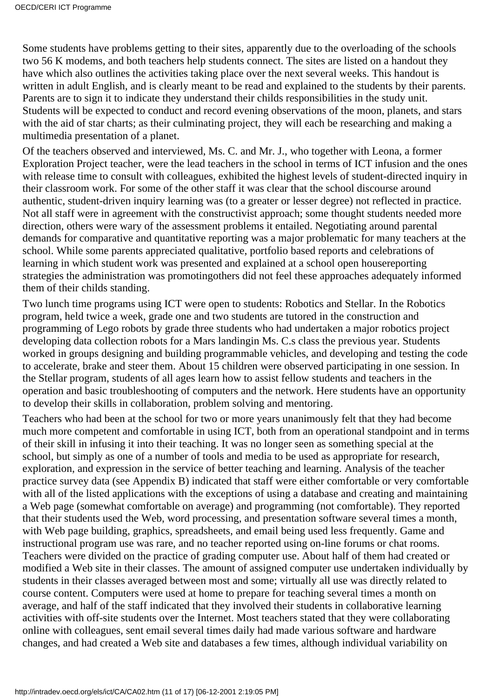Some students have problems getting to their sites, apparently due to the overloading of the school s two 56 K modems, and both teachers help students connect. The sites are listed on a handout they have which also outlines the activities taking place over the next several weeks. This handout is written in adult English, and is clearly meant to be read and explained to the students by their parents. Parents are to sign it to indicate they understand their child s responsibilities in the study unit. Students will be expected to conduct and record evening observations of the moon, planets, and stars with the aid of star charts; as their culminating project, they will each be researching and making a multimedia presentation of a planet.

Of the teachers observed and interviewed, Ms. C. and Mr. J., who together with Leona, a former Exploration Project teacher, were the lead teachers in the school in terms of ICT infusion and the ones with release time to consult with colleagues, exhibited the highest levels of student-directed inquiry in their classroom work. For some of the other staff it was clear that the school discourse around authentic, student-driven inquiry learning was (to a greater or lesser degree) not reflected in practice. Not all staff were in agreement with the constructivist approach; some thought students needed more direction, others were wary of the assessment problems it entailed. Negotiating around parental demands for comparative and quantitative reporting was a major problematic for many teachers at the school. While some parents appreciated qualitative, portfolio based reports and celebrations of learning in which student work was presented and explained at a school open house reporting strategies the administration was promoting others did not feel these approaches adequately informed them of their child s standing.

Two lunch time programs using ICT were open to students: Robotics and Stellar. In the Robotics program, held twice a week, grade one and two students are tutored in the construction and programming of Lego robots by grade three students who had undertaken a major robotics project developing data collection robots for a Mars landing in Ms. C. s class the previous year. Students worked in groups designing and building programmable vehicles, and developing and testing the code to accelerate, brake and steer them. About 15 children were observed participating in one session. In the Stellar program, students of all ages learn how to assist fellow students and teachers in the operation and basic troubleshooting of computers and the network. Here students have an opportunity to develop their skills in collaboration, problem solving and mentoring.

Teachers who had been at the school for two or more years unanimously felt that they had become much more competent and comfortable in using ICT, both from an operational standpoint and in terms of their skill in infusing it into their teaching. It was no longer seen as something special at the school, but simply as one of a number of tools and media to be used as appropriate for research, exploration, and expression in the service of better teaching and learning. Analysis of the teacher practice survey data (see Appendix B) indicated that staff were either comfortable or very comfortable with all of the listed applications with the exceptions of using a database and creating and maintaining a Web page (somewhat comfortable on average) and programming (not comfortable). They reported that their students used the Web, word processing, and presentation software several times a month, with Web page building, graphics, spreadsheets, and email being used less frequently. Game and instructional program use was rare, and no teacher reported using on-line forums or chat rooms. Teachers were divided on the practice of grading computer use. About half of them had created or modified a Web site in their classes. The amount of assigned computer use undertaken individually by students in their classes averaged between most and some; virtually all use was directly related to course content. Computers were used at home to prepare for teaching several times a month on average, and half of the staff indicated that they involved their students in collaborative learning activities with off-site students over the Internet. Most teachers stated that they were collaborating online with colleagues, sent email several times daily had made various software and hardware changes, and had created a Web site and databases a few times, although individual variability on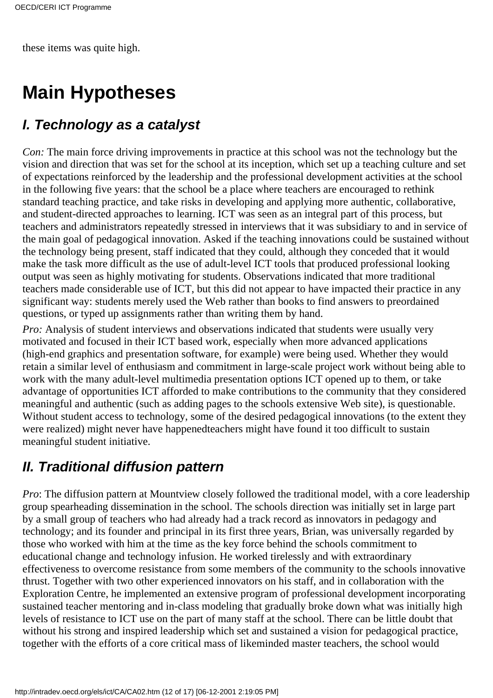these items was quite high.

# **Main Hypotheses**

#### *I. Technology as a catalyst*

*Con:* The main force driving improvements in practice at this school was not the technology but the vision and direction that was set for the school at its inception, which set up a teaching culture and set of expectations reinforced by the leadership and the professional development activities at the school in the following five years: that the school be a place where teachers are encouraged to rethink standard teaching practice, and take risks in developing and applying more authentic, collaborative, and student-directed approaches to learning. ICT was seen as an integral part of this process, but teachers and administrators repeatedly stressed in interviews that it was subsidiary to and in service of the main goal of pedagogical innovation. Asked if the teaching innovations could be sustained without the technology being present, staff indicated that they could, although they conceded that it would make the task more difficult as the use of adult-level ICT tools that produced professional looking output was seen as highly motivating for students. Observations indicated that more traditional teachers made considerable use of ICT, but this did not appear to have impacted their practice in any significant way: students merely used the Web rather than books to find answers to preordained questions, or typed up assignments rather than writing them by hand.

*Pro:* Analysis of student interviews and observations indicated that students were usually very motivated and focused in their ICT based work, especially when more advanced applications (high-end graphics and presentation software, for example) were being used. Whether they would retain a similar level of enthusiasm and commitment in large-scale project work without being able to work with the many adult-level multimedia presentation options ICT opened up to them, or take advantage of opportunities ICT afforded to make contributions to the community that they considered meaningful and authentic (such as adding pages to the school s extensive Web site), is questionable. Without student access to technology, some of the desired pedagogical innovations (to the extent they were realized) might never have happened teachers might have found it too difficult to sustain meaningful student initiative.

#### *II. Traditional diffusion pattern*

*Pro*: The diffusion pattern at Mountview closely followed the traditional model, with a core leadership group spearheading dissemination in the school. The schools direction was initially set in large part by a small group of teachers who had already had a track record as innovators in pedagogy and technology; and its founder and principal in its first three years, Brian, was universally regarded by those who worked with him at the time as the key force behind the school s commitment to educational change and technology infusion. He worked tirelessly and with extraordinary effectiveness to overcome resistance from some members of the community to the school s innovative thrust. Together with two other experienced innovators on his staff, and in collaboration with the Exploration Centre, he implemented an extensive program of professional development incorporating sustained teacher mentoring and in-class modeling that gradually broke down what was initially high levels of resistance to ICT use on the part of many staff at the school. There can be little doubt that without his strong and inspired leadership which set and sustained a vision for pedagogical practice, together with the efforts of a core critical mass of likeminded master teachers, the school would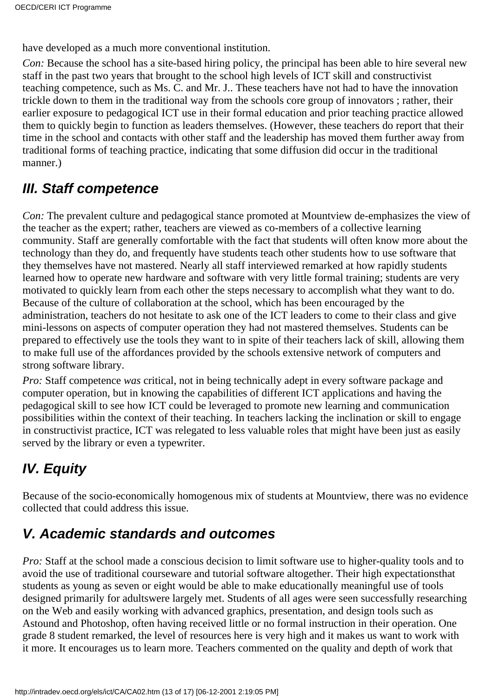have developed as a much more conventional institution.

*Con:* Because the school has a site-based hiring policy, the principal has been able to hire several new staff in the past two years that brought to the school high levels of ICT skill and constructivist teaching competence, such as Ms. C. and Mr. J.. These teachers have not had to have the innovation trickle down to them in the traditional way from the schools core group of innovators ; rather, their earlier exposure to pedagogical ICT use in their formal education and prior teaching practice allowed them to quickly begin to function as leaders themselves. (However, these teachers do report that their time in the school and contacts with other staff and the leadership has moved them further away from traditional forms of teaching practice, indicating that some diffusion did occur in the traditional manner.)

#### *III. Staff competence*

*Con:* The prevalent culture and pedagogical stance promoted at Mountview de-emphasizes the view of the teacher as the expert; rather, teachers are viewed as co-members of a collective learning community. Staff are generally comfortable with the fact that students will often know more about the technology than they do, and frequently have students teach other students how to use software that they themselves have not mastered. Nearly all staff interviewed remarked at how rapidly students learned how to operate new hardware and software with very little formal training; students are very motivated to quickly learn from each other the steps necessary to accomplish what they want to do. Because of the culture of collaboration at the school, which has been encouraged by the administration, teachers do not hesitate to ask one of the ICT leaders to come to their class and give mini-lessons on aspects of computer operation they had not mastered themselves. Students can be prepared to effectively use the tools they want to in spite of their teachers lack of skill, allowing them to make full use of the affordances provided by the schools extensive network of computers and strong software library.

*Pro:* Staff competence *was* critical, not in being technically adept in every software package and computer operation, but in knowing the capabilities of different ICT applications and having the pedagogical skill to see how ICT could be leveraged to promote new learning and communication possibilities within the context of their teaching. In teachers lacking the inclination or skill to engage in constructivist practice, ICT was relegated to less valuable roles that might have been just as easily served by the library or even a typewriter.

## *IV. Equity*

Because of the socio-economically homogenous mix of students at Mountview, there was no evidence collected that could address this issue.

### *V. Academic standards and outcomes*

*Pro:* Staff at the school made a conscious decision to limit software use to higher-quality tools and to avoid the use of traditional courseware and tutorial software altogether. Their high expectations that students as young as seven or eight would be able to make educationally meaningful use of tools designed primarily for adults were largely met. Students of all ages were seen successfully researching on the Web and easily working with advanced graphics, presentation, and design tools such as Astound and Photoshop, often having received little or no formal instruction in their operation. One grade 8 student remarked, the level of resources here is very high and it makes us want to work with it more. It encourages us to learn more. Teachers commented on the quality and depth of work that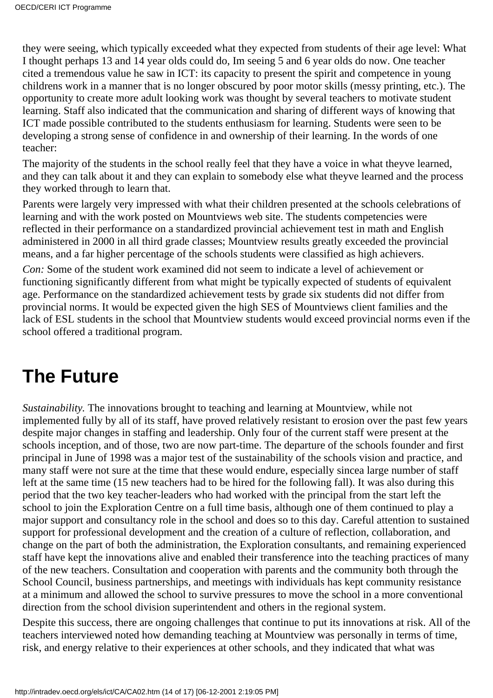they were seeing, which typically exceeded what they expected from students of their age level: What I thought perhaps 13 and 14 year olds could do, Im seeing 5 and 6 year olds do now. One teacher cited a tremendous value he saw in ICT: its capacity to present the spirit and competence in young childrens work in a manner that is no longer obscured by poor motor skills (messy printing, etc.). The opportunity to create more adult looking work was thought by several teachers to motivate student learning. Staff also indicated that the communication and sharing of different ways of knowing that ICT made possible contributed to the students enthusiasm for learning. Students were seen to be developing a strong sense of confidence in and ownership of their learning. In the words of one teacher:

The majority of the students in the school really feel that they have a voice in what they ve learned, and they can talk about it and they can explain to somebody else what they ve learned and the process they worked through to learn that.

Parents were largely very impressed with what their children presented at the school s celebrations of learning and with the work posted on Mountview s web site. The students competencies were reflected in their performance on a standardized provincial achievement test in math and English administered in 2000 in all third grade classes; Mountview results greatly exceeded the provincial means, and a far higher percentage of the school s students were classified as high achievers.

*Con:* Some of the student work examined did not seem to indicate a level of achievement or functioning significantly different from what might be typically expected of students of equivalent age. Performance on the standardized achievement tests by grade six students did not differ from provincial norms. It would be expected given the high SES of Mountviews client families and the lack of ESL students in the school that Mountview students would exceed provincial norms even if the school offered a traditional program.

## **The Future**

*Sustainability.* The innovations brought to teaching and learning at Mountview, while not implemented fully by all of its staff, have proved relatively resistant to erosion over the past few years despite major changes in staffing and leadership. Only four of the current staff were present at the school s inception, and of those, two are now part-time. The departure of the school s founder and first principal in June of 1998 was a major test of the sustainability of the schools vision and practice, and many staff were not sure at the time that these would endure, especially sincea large number of staff left at the same time (15 new teachers had to be hired for the following fall). It was also during this period that the two key teacher-leaders who had worked with the principal from the start left the school to join the Exploration Centre on a full time basis, although one of them continued to play a major support and consultancy role in the school and does so to this day. Careful attention to sustained support for professional development and the creation of a culture of reflection, collaboration, and change on the part of both the administration, the Exploration consultants, and remaining experienced staff have kept the innovations alive and enabled their transference into the teaching practices of many of the new teachers. Consultation and cooperation with parents and the community both through the School Council, business partnerships, and meetings with individuals has kept community resistance at a minimum and allowed the school to survive pressures to move the school in a more conventional direction from the school division superintendent and others in the regional system.

Despite this success, there are ongoing challenges that continue to put its innovations at risk. All of the teachers interviewed noted how demanding teaching at Mountview was personally in terms of time, risk, and energy relative to their experiences at other schools, and they indicated that what was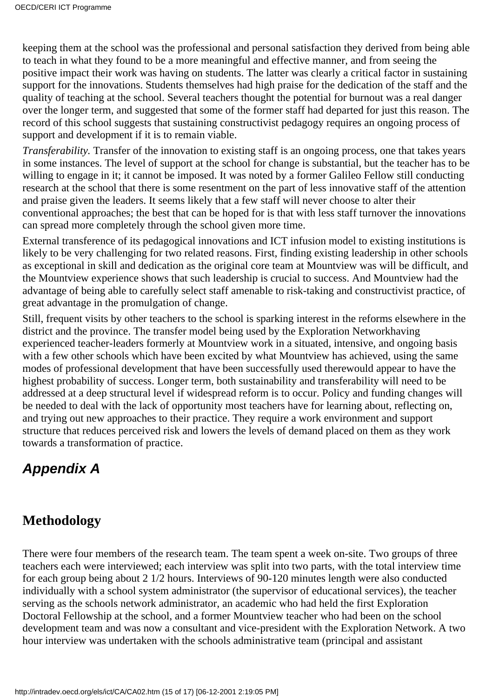keeping them at the school was the professional and personal satisfaction they derived from being able to teach in what they found to be a more meaningful and effective manner, and from seeing the positive impact their work was having on students. The latter was clearly a critical factor in sustaining support for the innovations. Students themselves had high praise for the dedication of the staff and the quality of teaching at the school. Several teachers thought the potential for burnout was a real danger over the longer term, and suggested that some of the former staff had departed for just this reason. The record of this school suggests that sustaining constructivist pedagogy requires an ongoing process of support and development if it is to remain viable.

*Transferability.* Transfer of the innovation to existing staff is an ongoing process, one that takes years in some instances. The level of support at the school for change is substantial, but the teacher has to be willing to engage in it; it cannot be imposed. It was noted by a former Galileo Fellow still conducting research at the school that there is some resentment on the part of less innovative staff of the attention and praise given the leaders. It seems likely that a few staff will never choose to alter their conventional approaches; the best that can be hoped for is that with less staff turnover the innovations can spread more completely through the school given more time.

External transference of its pedagogical innovations and ICT infusion model to existing institutions is likely to be very challenging for two related reasons. First, finding existing leadership in other schools as exceptional in skill and dedication as the original core team at Mountview was will be difficult, and the Mountview experience shows that such leadership is crucial to success. And Mountview had the advantage of being able to carefully select staff amenable to risk-taking and constructivist practice, of great advantage in the promulgation of change.

Still, frequent visits by other teachers to the school is sparking interest in the reforms elsewhere in the district and the province. The transfer model being used by the Exploration Network having experienced teacher-leaders formerly at Mountview work in a situated, intensive, and ongoing basis with a few other schools which have been excited by what Mountview has achieved, using the same modes of professional development that have been successfully used there would appear to have the highest probability of success. Longer term, both sustainability and transferability will need to be addressed at a deep structural level if widespread reform is to occur. Policy and funding changes will be needed to deal with the lack of opportunity most teachers have for learning about, reflecting on, and trying out new approaches to their practice. They require a work environment and support structure that reduces perceived risk and lowers the levels of demand placed on them as they work towards a transformation of practice.

#### *Appendix A*

#### **Methodology**

There were four members of the research team. The team spent a week on-site. Two groups of three teachers each were interviewed; each interview was split into two parts, with the total interview time for each group being about 2 1/2 hours. Interviews of 90-120 minutes length were also conducted individually with a school system administrator (the supervisor of educational services), the teacher serving as the school s network administrator, an academic who had held the first Exploration Doctoral Fellowship at the school, and a former Mountview teacher who had been on the school development team and was now a consultant and vice-president with the Exploration Network. A two hour interview was undertaken with the school s administrative team (principal and assistant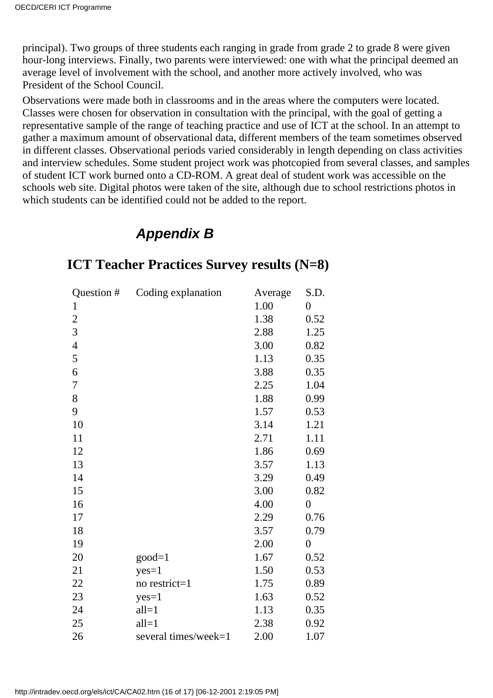principal). Two groups of three students each ranging in grade from grade 2 to grade 8 were given hour-long interviews. Finally, two parents were interviewed: one with what the principal deemed an average level of involvement with the school, and another more actively involved, who was President of the School Council.

Observations were made both in classrooms and in the areas where the computers were located. Classes were chosen for observation in consultation with the principal, with the goal of getting a representative sample of the range of teaching practice and use of ICT at the school. In an attempt to gather a maximum amount of observational data, different members of the team sometimes observed in different classes. Observational periods varied considerably in length depending on class activities and interview schedules. Some student project work was photcopied from several classes, and samples of student ICT work burned onto a CD-ROM. A great deal of student work was accessible on the school s web site. Digital photos were taken of the site, although due to school restrictions photos in which students can be identified could not be added to the report.

#### *Appendix B*

| Question #     | Coding explanation   | Average | S.D.           |
|----------------|----------------------|---------|----------------|
| $\mathbf{1}$   |                      | 1.00    | $\overline{0}$ |
| $\overline{2}$ |                      | 1.38    | 0.52           |
| 3              |                      | 2.88    | 1.25           |
| $\overline{4}$ |                      | 3.00    | 0.82           |
| 5              |                      | 1.13    | 0.35           |
| 6              |                      | 3.88    | 0.35           |
| 7              |                      | 2.25    | 1.04           |
| 8              |                      | 1.88    | 0.99           |
| 9              |                      | 1.57    | 0.53           |
| 10             |                      | 3.14    | 1.21           |
| 11             |                      | 2.71    | 1.11           |
| 12             |                      | 1.86    | 0.69           |
| 13             |                      | 3.57    | 1.13           |
| 14             |                      | 3.29    | 0.49           |
| 15             |                      | 3.00    | 0.82           |
| 16             |                      | 4.00    | $\overline{0}$ |
| 17             |                      | 2.29    | 0.76           |
| 18             |                      | 3.57    | 0.79           |
| 19             |                      | 2.00    | $\overline{0}$ |
| 20             | $good=1$             | 1.67    | 0.52           |
| 21             | $yes=1$              | 1.50    | 0.53           |
| 22             | no restrict=1        | 1.75    | 0.89           |
| 23             | $yes=1$              | 1.63    | 0.52           |
| 24             | $all=1$              | 1.13    | 0.35           |
| 25             | $all=1$              | 2.38    | 0.92           |
| 26             | several times/week=1 | 2.00    | 1.07           |

#### **ICT Teacher Practices Survey results (N=8)**